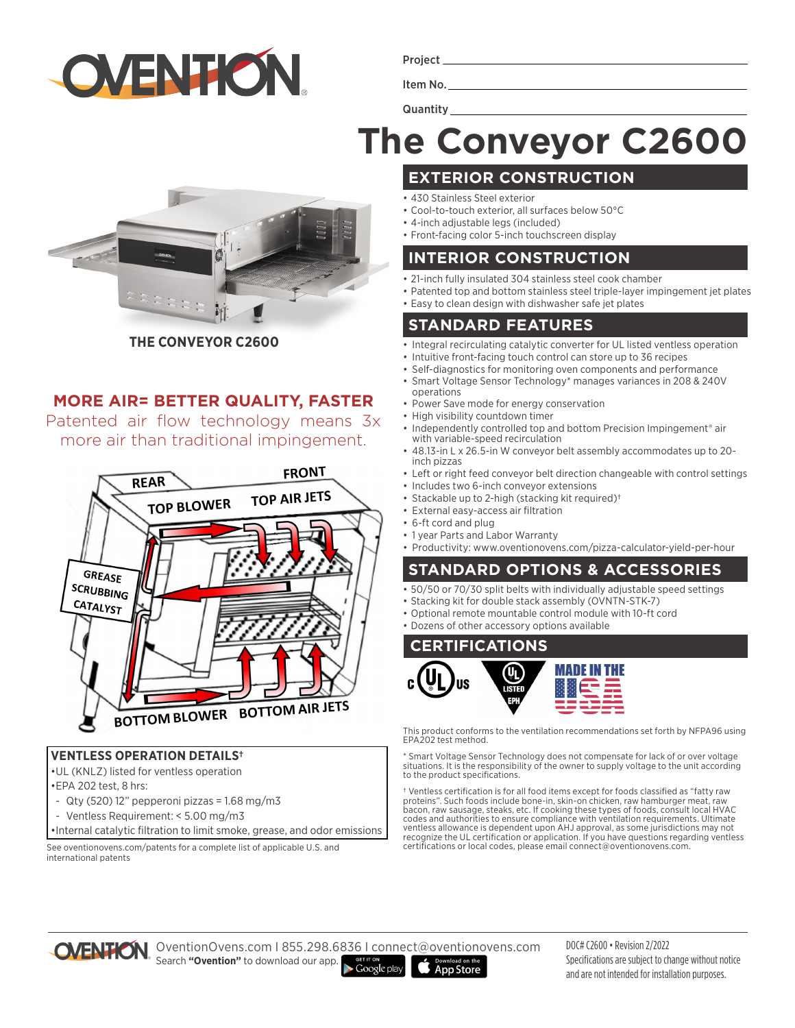

Project

Item No. **Quantity** 

# **The Conveyor C2600**

**THE CONVEYOR C2600**

# **MORE AIR= BETTER QUALITY, FASTER**

Patented air flow technology means 3x more air than traditional impingement.



#### **VENTLESS OPERATION DETAILS†**

•UL (KNLZ) listed for ventless operation

- •EPA 202 test, 8 hrs:
- Qty (520) 12" pepperoni pizzas = 1.68 mg/m3
- Ventless Requirement: < 5.00 mg/m3
- •Internal catalytic filtration to limit smoke, grease, and odor emissions

See oventionovens.com/patents for a complete list of applicable U.S. and international patents

# **EXTERIOR CONSTRUCTION**

- 430 Stainless Steel exterior
- Cool-to-touch exterior, all surfaces below 50°C
- 4-inch adjustable legs (included)
- Front-facing color 5-inch touchscreen display

### **INTERIOR CONSTRUCTION**

- 21-inch fully insulated 304 stainless steel cook chamber
- Patented top and bottom stainless steel triple-layer impingement jet plates
- Easy to clean design with dishwasher safe jet plates

## **STANDARD FEATURES**

- Integral recirculating catalytic converter for UL listed ventless operation
- Intuitive front-facing touch control can store up to 36 recipes
- Self-diagnostics for monitoring oven components and performance
- Smart Voltage Sensor Technology\* manages variances in 208 & 240V operations
- Power Save mode for energy conservation
- High visibility countdown timer
- Independently controlled top and bottom Precision Impingement® air with variable-speed recirculation
- 48.13-in L x 26.5-in W conveyor belt assembly accommodates up to 20 inch pizzas
- Left or right feed conveyor belt direction changeable with control settings
- Includes two 6-inch conveyor extensions
- Stackable up to 2-high (stacking kit required)†
- External easy-access air filtration
- 6-ft cord and plug
- 1 year Parts and Labor Warranty • Productivity: www.oventionovens.com/pizza-calculator-yield-per-hour

### **STANDARD OPTIONS & ACCESSORIES**

- 50/50 or 70/30 split belts with individually adjustable speed settings
- Stacking kit for double stack assembly (OVNTN-STK-7)
- Optional remote mountable control module with 10-ft cord
- Dozens of other accessory options available

#### **CERTIFICATIONS**



This product conforms to the ventilation recommendations set forth by NFPA96 using EPA202 test method.

\* Smart Voltage Sensor Technology does not compensate for lack of or over voltage situations. It is the responsibility of the owner to supply voltage to the unit according to the product specifications.

† Ventless certification is for all food items except for foods classified as "fatty raw proteins". Such foods include bone-in, skin-on chicken, raw hamburger meat, raw bacon, raw sausage, steaks, etc. If cooking these types of foods, consult local HVAC codes and authorities to ensure compliance with ventilation requirements. Ultimate ventless allowance is dependent upon AHJ approval, as some jurisdictions may not recognize the UL certification or application. If you have questions regarding ventless certifications or local codes, please email connect@oventionovens.com.



OventionOvens.com I 855.298.6836 I connect@oventionovens.com Search **"Ovention"** to download our app.  $\blacktriangleright$  Google play

**App Store** 

DOC# C2600 • Revision 2/2022 Specifications are subject to change without notice and are not intended for installation purposes.